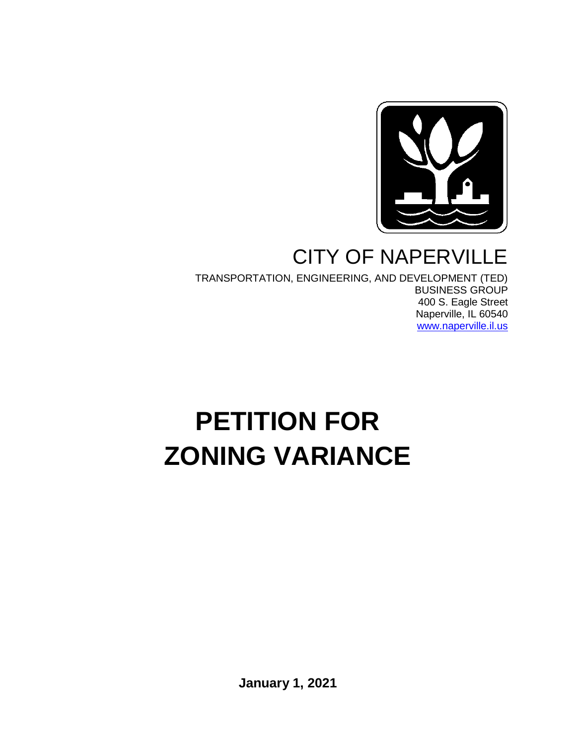

# CITY OF NAPERVILLE

TRANSPORTATION, ENGINEERING, AND DEVELOPMENT (TED) BUSINESS GROUP 400 S. Eagle Street Naperville, IL 60540 [www.naperville.il.us](http://www.naperville.il.us/)

# **PETITION FOR ZONING VARIANCE**

**January 1, 2021**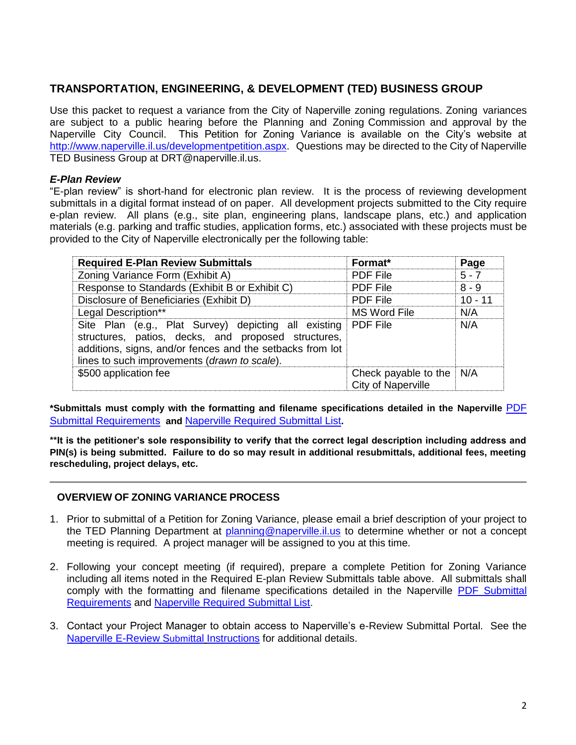### **TRANSPORTATION, ENGINEERING, & DEVELOPMENT (TED) BUSINESS GROUP**

Use this packet to request a variance from the City of Naperville zoning regulations. Zoning variances are subject to a public hearing before the Planning and Zoning Commission and approval by the Naperville City Council. This Petition for Zoning Variance is available on the City's website at [http://www.naperville.il.us/developmentpetition.aspx.](http://www.naperville.il.us/developmentpetition.aspx) Questions may be directed to the City of Naperville TED Business Group at DRT@naperville.il.us.

### *E-Plan Review*

"E-plan review" is short-hand for electronic plan review. It is the process of reviewing development submittals in a digital format instead of on paper. All development projects submitted to the City require e-plan review. All plans (e.g., site plan, engineering plans, landscape plans, etc.) and application materials (e.g. parking and traffic studies, application forms, etc.) associated with these projects must be provided to the City of Naperville electronically per the following table:

| <b>Required E-Plan Review Submittals</b>                                                                                                                                                                                          | Format*                                    | Page      |
|-----------------------------------------------------------------------------------------------------------------------------------------------------------------------------------------------------------------------------------|--------------------------------------------|-----------|
| Zoning Variance Form (Exhibit A)                                                                                                                                                                                                  | <b>PDF File</b>                            | $5 - 7$   |
| Response to Standards (Exhibit B or Exhibit C)                                                                                                                                                                                    | <b>PDF File</b>                            | $8 - 9$   |
| Disclosure of Beneficiaries (Exhibit D)                                                                                                                                                                                           | <b>PDF File</b>                            | $10 - 11$ |
| Legal Description**                                                                                                                                                                                                               | <b>MS Word File</b>                        | N/A       |
| Site Plan (e.g., Plat Survey) depicting all existing PDF File<br>structures, patios, decks, and proposed structures,<br>additions, signs, and/or fences and the setbacks from lot<br>lines to such improvements (drawn to scale). |                                            | N/A       |
| \$500 application fee                                                                                                                                                                                                             | Check payable to the<br>City of Naperville | N/A       |

**\*Submittals must comply with the formatting and filename specifications detailed in the Naperville** [PDF](https://www.naperville.il.us/services/permits--licenses/development-petition-and-application/)  [Submittal Requirements](https://www.naperville.il.us/services/permits--licenses/development-petition-and-application/) **and** [Naperville Required Submittal List](https://www.naperville.il.us/services/permits--licenses/development-petition-and-application/)**.** 

**\*\*It is the petitioner's sole responsibility to verify that the correct legal description including address and PIN(s) is being submitted. Failure to do so may result in additional resubmittals, additional fees, meeting rescheduling, project delays, etc.**

#### **OVERVIEW OF ZONING VARIANCE PROCESS**

- 1. Prior to submittal of a Petition for Zoning Variance, please email a brief description of your project to the TED Planning Department at [planning@naperville.il.us](mailto:planning@naperville.il.us) to determine whether or not a concept meeting is required. A project manager will be assigned to you at this time.
- 2. Following your concept meeting (if required), prepare a complete Petition for Zoning Variance including all items noted in the Required E-plan Review Submittals table above. All submittals shall comply with the formatting and filename specifications detailed in the Naperville [PDF Submittal](https://www.naperville.il.us/services/permits--licenses/development-petition-and-application/)  [Requirements](https://www.naperville.il.us/services/permits--licenses/development-petition-and-application/) and [Naperville Required Submittal List.](https://www.naperville.il.us/services/permits--licenses/development-petition-and-application/)
- 3. Contact your Project Manager to obtain access to Naperville's e-Review Submittal Portal. See the [Naperville E-Review S](https://www.naperville.il.us/services/permits--licenses/development-petition-and-application/)ubmittal Instructions for additional details.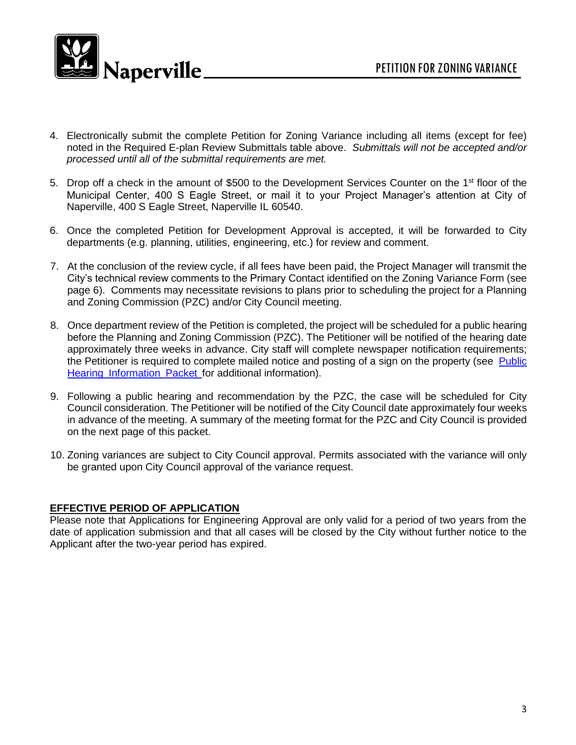

- 4. Electronically submit the complete Petition for Zoning Variance including all items (except for fee) noted in the Required E-plan Review Submittals table above. *Submittals will not be accepted and/or processed until all of the submittal requirements are met.*
- 5. Drop off a check in the amount of \$500 to the Development Services Counter on the 1<sup>st</sup> floor of the Municipal Center, 400 S Eagle Street, or mail it to your Project Manager's attention at City of Naperville, 400 S Eagle Street, Naperville IL 60540.
- 6. Once the completed Petition for Development Approval is accepted, it will be forwarded to City departments (e.g. planning, utilities, engineering, etc.) for review and comment.
- 7. At the conclusion of the review cycle, if all fees have been paid, the Project Manager will transmit the City's technical review comments to the Primary Contact identified on the Zoning Variance Form (see page 6). Comments may necessitate revisions to plans prior to scheduling the project for a Planning and Zoning Commission (PZC) and/or City Council meeting.
- 8. Once department review of the Petition is completed, the project will be scheduled for a public hearing before the Planning and Zoning Commission (PZC). The Petitioner will be notified of the hearing date approximately three weeks in advance. City staff will complete newspaper notification requirements; the Petitioner is required to complete mailed notice and posting of a sign on the property (see [Public](https://www.naperville.il.us/contentassets/f6f4d1b8766c4564bde31277f00f444b/public_hearing_information_packet_2018.docx) Hearing [Information](https://www.naperville.il.us/contentassets/f6f4d1b8766c4564bde31277f00f444b/public_hearing_information_packet_2018.docx) Packet for additional information).
- 9. Following a public hearing and recommendation by the PZC, the case will be scheduled for City Council consideration. The Petitioner will be notified of the City Council date approximately four weeks in advance of the meeting. A summary of the meeting format for the PZC and City Council is provided on the next page of this packet.
- 10. Zoning variances are subject to City Council approval. Permits associated with the variance will only be granted upon City Council approval of the variance request.

#### **EFFECTIVE PERIOD OF APPLICATION**

Please note that Applications for Engineering Approval are only valid for a period of two years from the date of application submission and that all cases will be closed by the City without further notice to the Applicant after the two-year period has expired.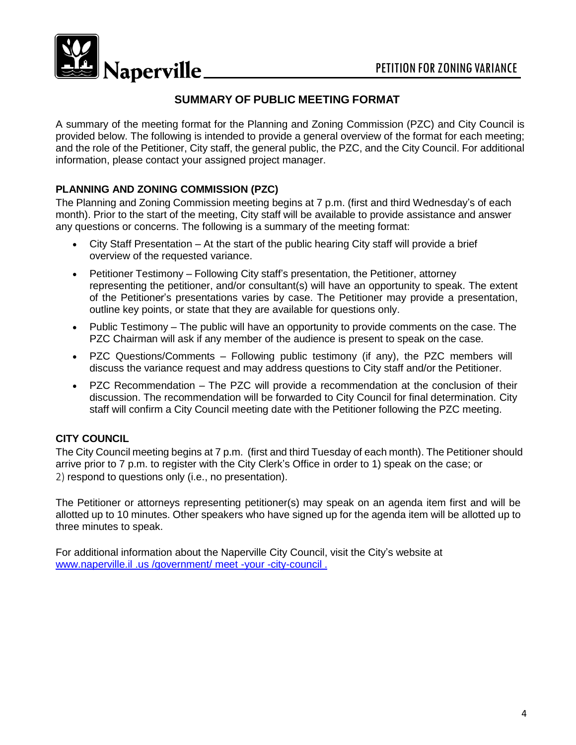

## **SUMMARY OF PUBLIC MEETING FORMAT**

A summary of the meeting format for the Planning and Zoning Commission (PZC) and City Council is provided below. The following is intended to provide a general overview of the format for each meeting; and the role of the Petitioner, City staff, the general public, the PZC, and the City Council. For additional information, please contact your assigned project manager.

### **PLANNING AND ZONING COMMISSION (PZC)**

The Planning and Zoning Commission meeting begins at 7 p.m. (first and third Wednesday's of each month). Prior to the start of the meeting, City staff will be available to provide assistance and answer any questions or concerns. The following is a summary of the meeting format:

- City Staff Presentation At the start of the public hearing City staff will provide a brief overview of the requested variance.
- Petitioner Testimony Following City staff's presentation, the Petitioner, attorney representing the petitioner, and/or consultant(s) will have an opportunity to speak. The extent of the Petitioner's presentations varies by case. The Petitioner may provide a presentation, outline key points, or state that they are available for questions only.
- Public Testimony The public will have an opportunity to provide comments on the case. The PZC Chairman will ask if any member of the audience is present to speak on the case.
- PZC Questions/Comments Following public testimony (if any), the PZC members will discuss the variance request and may address questions to City staff and/or the Petitioner.
- PZC Recommendation The PZC will provide a recommendation at the conclusion of their discussion. The recommendation will be forwarded to City Council for final determination. City staff will confirm a City Council meeting date with the Petitioner following the PZC meeting.

### **CITY COUNCIL**

The City Council meeting begins at 7 p.m. (first and third Tuesday of each month). The Petitioner should arrive prior to 7 p.m. to register with the City Clerk's Office in order to 1) speak on the case; or 2) respond to questions only (i.e., no presentation).

The Petitioner or attorneys representing petitioner(s) may speak on an agenda item first and will be allotted up to 10 minutes. Other speakers who have signed up for the agenda item will be allotted up to three minutes to speak.

For additional information about the Naperville City Council, visit the City's website at www.naperville.il .us /government/ meet -your -city-council .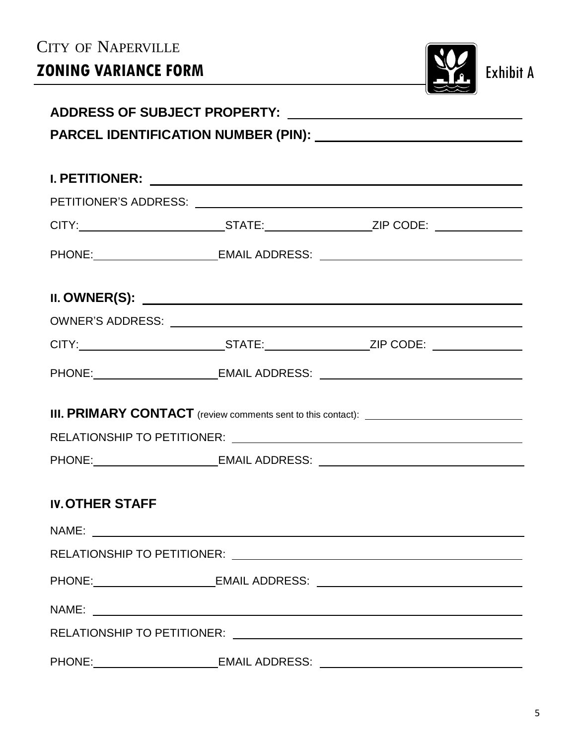| CITY OF NAPERVILLE     |                                                                                                     |                  |
|------------------------|-----------------------------------------------------------------------------------------------------|------------------|
| ZONING VARIANCE FORM   |                                                                                                     | <b>Exhibit A</b> |
|                        |                                                                                                     |                  |
|                        |                                                                                                     |                  |
|                        |                                                                                                     |                  |
|                        |                                                                                                     |                  |
|                        |                                                                                                     |                  |
|                        | CITY:_______________________________STATE:______________________ZIP CODE: ___________________       |                  |
|                        | PHONE: __________________________EMAIL ADDRESS: ________________________________                    |                  |
|                        |                                                                                                     |                  |
|                        |                                                                                                     |                  |
|                        | CITY:________________________________STATE:______________________ZIP CODE: ________________________ |                  |
|                        | PHONE:__________________________EMAIL ADDRESS: _________________________________                    |                  |
|                        |                                                                                                     |                  |
|                        |                                                                                                     |                  |
|                        |                                                                                                     |                  |
|                        | PHONE: __________________________EMAIL ADDRESS: ________________________________                    |                  |
|                        |                                                                                                     |                  |
| <b>IV. OTHER STAFF</b> |                                                                                                     |                  |
|                        |                                                                                                     |                  |
|                        |                                                                                                     |                  |
|                        | PHONE: __________________________EMAIL ADDRESS: ________________________________                    |                  |
|                        |                                                                                                     |                  |
|                        |                                                                                                     |                  |
|                        | PHONE:____________________________EMAIL ADDRESS: _______________________________                    |                  |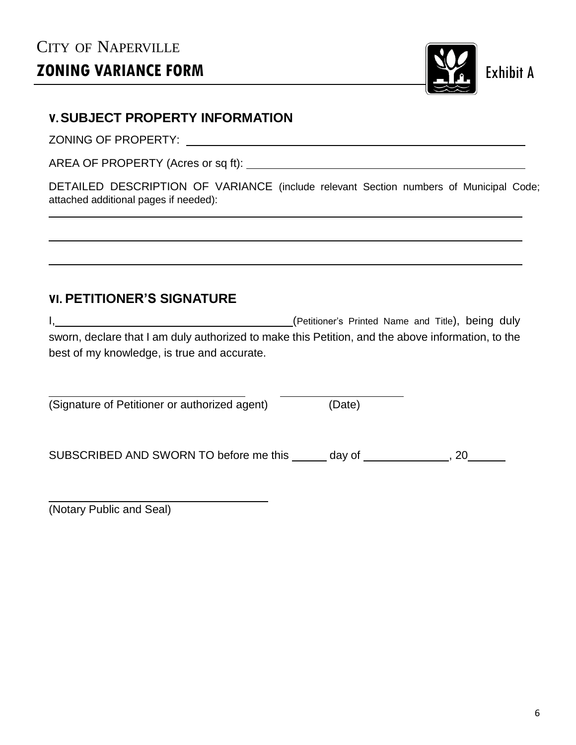# CITY OF NAPERVILLE **ZONING VARIANCE FORM Exhibit A**



# **V.SUBJECT PROPERTY INFORMATION**

ZONING OF PROPERTY:

AREA OF PROPERTY (Acres or sq ft):

DETAILED DESCRIPTION OF VARIANCE (include relevant Section numbers of Municipal Code; attached additional pages if needed):

# **VI. PETITIONER'S SIGNATURE**

I, **I** (Petitioner's Printed Name and Title), being duly sworn, declare that I am duly authorized to make this Petition, and the above information, to the best of my knowledge, is true and accurate.

| (Signature of Petitioner or authorized agent) | (Date) |
|-----------------------------------------------|--------|
|                                               |        |

SUBSCRIBED AND SWORN TO before me this  $\_\_\_\_$  day of  $\_\_\_\_\_\_$ , 20

(Notary Public and Seal)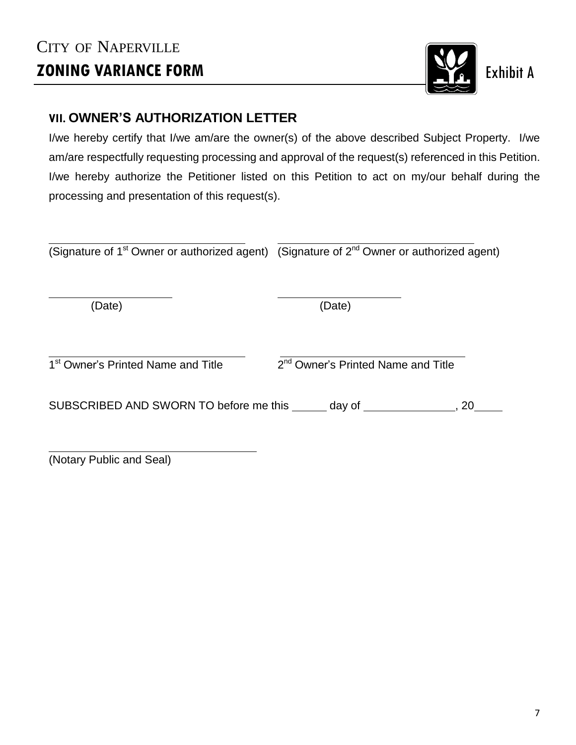# CITY OF NAPERVILLE **ZONING VARIANCE FORM Exhibit A**



# **VII. OWNER'S AUTHORIZATION LETTER**

I/we hereby certify that I/we am/are the owner(s) of the above described Subject Property. I/we am/are respectfully requesting processing and approval of the request(s) referenced in this Petition. I/we hereby authorize the Petitioner listed on this Petition to act on my/our behalf during the processing and presentation of this request(s).

|  | (Signature of 1 <sup>st</sup> Owner or authorized agent) (Signature of 2 <sup>nd</sup> Owner or authorized agent) |
|--|-------------------------------------------------------------------------------------------------------------------|
|--|-------------------------------------------------------------------------------------------------------------------|

(Date) (Date)

1<sup>st</sup> Owner's Printed Name and Title 2

 $2<sup>nd</sup>$  Owner's Printed Name and Title

SUBSCRIBED AND SWORN TO before me this  $\_\_\_$  day of  $\_\_\_\_\_\_$ , 20

(Notary Public and Seal)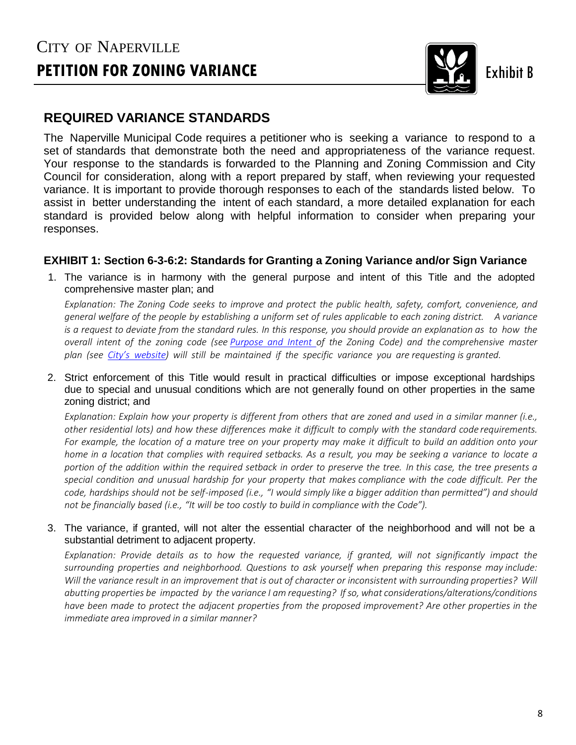# CITY OF NAPERVILLE **PETITION FOR ZONING VARIANCE Exhibit B** Exhibit B



# **REQUIRED VARIANCE STANDARDS**

The Naperville Municipal Code requires a petitioner who is seeking a variance to respond to a set of standards that demonstrate both the need and appropriateness of the variance request. Your response to the standards is forwarded to the Planning and Zoning Commission and City Council for consideration, along with a report prepared by staff, when reviewing your requested variance. It is important to provide thorough responses to each of the standards listed below. To assist in better understanding the intent of each standard, a more detailed explanation for each standard is provided below along with helpful information to consider when preparing your responses.

### **EXHIBIT 1: Section 6-3-6:2: Standards for Granting a Zoning Variance and/or Sign Variance**

1. The variance is in harmony with the general purpose and intent of this Title and the adopted comprehensive master plan; and

*Explanation: The Zoning Code seeks to improve and protect the public health, safety, comfort, convenience, and* general welfare of the people by establishing a uniform set of rules applicable to each zoning district. A variance is a request to deviate from the standard rules. In this response, you should provide an explanation as to how the overall intent of the zoning code (see [Purpose](https://library.municode.com/il/naperville/codes/code_of_ordinances?nodeId=TIT6ZORE_CH1ZOTIPUDE) and Intent of the Zoning Code) and the comprehensive master plan (see City's [website\)](https://www.naperville.il.us/projects-in-naperville/comprehensive-master-plan/) will still be maintained if the specific variance you are requesting is granted.

2. Strict enforcement of this Title would result in practical difficulties or impose exceptional hardships due to special and unusual conditions which are not generally found on other properties in the same zoning district; and

Explanation: Explain how your property is different from others that are zoned and used in a similar manner (i.e., other residential lots) and how these differences make it difficult to comply with the standard code requirements. For example, the location of a mature tree on your property may make it difficult to build an addition onto your home in a location that complies with required setbacks. As a result, you may be seeking a variance to locate a portion of the addition within the required setback in order to preserve the tree. In this case, the tree presents a special condition and unusual hardship for your property that makes compliance with the code difficult. Per the code, hardships should not be self-imposed (i.e., "I would simply like a bigger addition than permitted") and should *not be financially based (i.e., "It will be too costly to build in compliance with the Code").* 

#### 3. The variance, if granted, will not alter the essential character of the neighborhood and will not be a substantial detriment to adjacent property.

*Explanation: Provide details as to how the requested variance, if granted, will not significantly impact the surrounding properties and neighborhood. Questions to ask yourself when preparing this response may include:* Will the variance result in an improvement that is out of character or inconsistent with surrounding properties? Will *abutting properties be impacted by the variance I am requesting? Ifso, what considerations/alterations/conditions have been made to protect the adjacent properties from the proposed improvement? Are other properties in the immediate area improved in a similar manner?*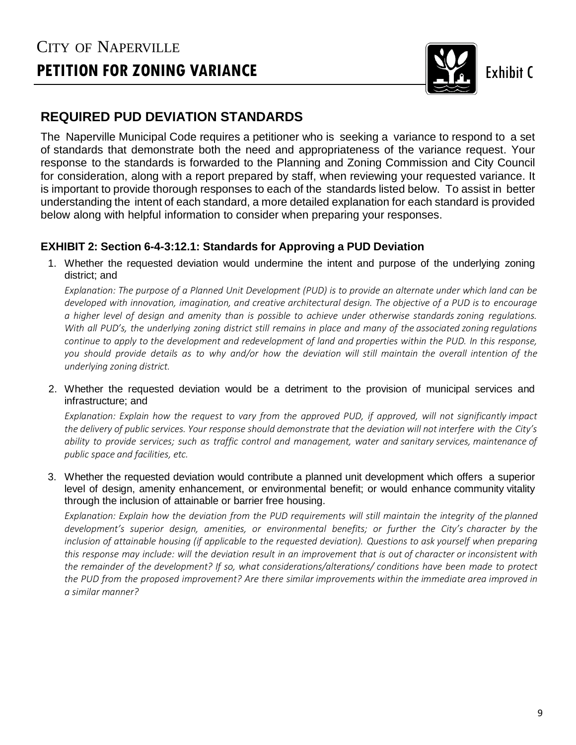

# **REQUIRED PUD DEVIATION STANDARDS**

The Naperville Municipal Code requires a petitioner who is seeking a variance to respond to a set of standards that demonstrate both the need and appropriateness of the variance request. Your response to the standards is forwarded to the Planning and Zoning Commission and City Council for consideration, along with a report prepared by staff, when reviewing your requested variance. It is important to provide thorough responses to each of the standards listed below. To assist in better understanding the intent of each standard, a more detailed explanation for each standard is provided below along with helpful information to consider when preparing your responses.

## **EXHIBIT 2: Section 6-4-3:12.1: Standards for Approving a PUD Deviation**

1. Whether the requested deviation would undermine the intent and purpose of the underlying zoning district; and

*Explanation: The purpose of a Planned Unit Development (PUD) is to provide an alternate under which land can be* developed with innovation, imagination, and creative architectural design. The objective of a PUD is to encourage a higher level of design and amenity than is possible to achieve under otherwise standards zoning regulations. With all PUD's, the underlying zoning district still remains in place and many of the associated zoning regulations continue to apply to the development and redevelopment of land and properties within the PUD. In this response, *you should provide details as to why and/or how the deviation will still maintain the overall intention of the underlying zoning district.* 

2. Whether the requested deviation would be a detriment to the provision of municipal services and infrastructure; and

Explanation: Explain how the request to vary from the approved PUD, if approved, will not significantly impact the delivery of public services. Your response should demonstrate that the deviation will not interfere with the City's *ability to provide services; such as traffic control and management, water and sanitary services, maintenance of public space and facilities, etc.*

3. Whether the requested deviation would contribute a planned unit development which offers a superior level of design, amenity enhancement, or environmental benefit; or would enhance community vitality through the inclusion of attainable or barrier free housing.

Explanation: Explain how the deviation from the PUD requirements will still maintain the integrity of the planned development's superior design, amenities, or environmental benefits; or further the City's character by the inclusion of attainable housing (if applicable to the requested deviation). Questions to ask yourself when preparing this response may include: will the deviation result in an improvement that is out of character or inconsistent with *the remainder of the development? If so, what considerations/alterations/ conditions have been made to protect the PUD from the proposed improvement? Are there similar improvements within the immediate area improved in a similar manner?*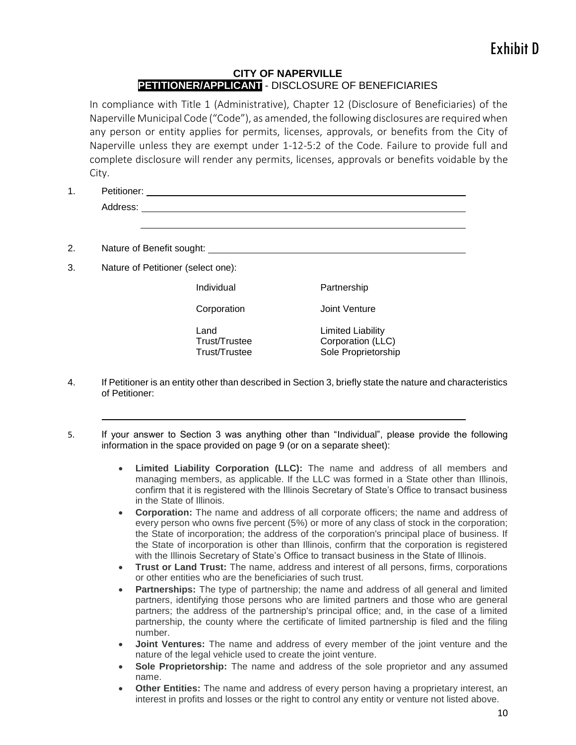#### **CITY OF NAPERVILLE PETITIONER/APPLICANT** - DISCLOSURE OF BENEFICIARIES

In compliance with Title 1 (Administrative), Chapter 12 (Disclosure of Beneficiaries) of the Naperville Municipal Code ("Code"), as amended, the following disclosures are required when any person or entity applies for permits, licenses, approvals, or benefits from the City of Naperville unless they are exempt under 1-12-5:2 of the Code. Failure to provide full and complete disclosure will render any permits, licenses, approvals or benefits voidable by the City.

1. Petitioner: Address:

2. Nature of Benefit sought:

3. Nature of Petitioner (select one):

Individual

Corporation

Land Trust/Trustee Trust/Trustee h

Limited Liability Corporation (LLC) Sole Proprietorship

Partnership

Joint Venture

- 4. If Petitioner is an entity other than described in Section 3, briefly state the nature and characteristics of Petitioner:
- 5. If your answer to Section 3 was anything other than "Individual", please provide the following information in the space provided on page 9 (or on a separate sheet):
	- **Limited Liability Corporation (LLC):** The name and address of all members and managing members, as applicable. If the LLC was formed in a State other than Illinois, confirm that it is registered with the Illinois Secretary of State's Office to transact business in the State of Illinois.
	- **Corporation:** The name and address of all corporate officers; the name and address of every person who owns five percent (5%) or more of any class of stock in the corporation; the State of incorporation; the address of the corporation's principal place of business. If the State of incorporation is other than Illinois, confirm that the corporation is registered with the Illinois Secretary of State's Office to transact business in the State of Illinois.
	- **Trust or Land Trust:** The name, address and interest of all persons, firms, corporations or other entities who are the beneficiaries of such trust.
	- **Partnerships:** The type of partnership; the name and address of all general and limited partners, identifying those persons who are limited partners and those who are general partners; the address of the partnership's principal office; and, in the case of a limited partnership, the county where the certificate of limited partnership is filed and the filing number.
	- **Joint Ventures:** The name and address of every member of the joint venture and the nature of the legal vehicle used to create the joint venture.
	- **Sole Proprietorship:** The name and address of the sole proprietor and any assumed name.
	- **Other Entities:** The name and address of every person having a proprietary interest, an interest in profits and losses or the right to control any entity or venture not listed above.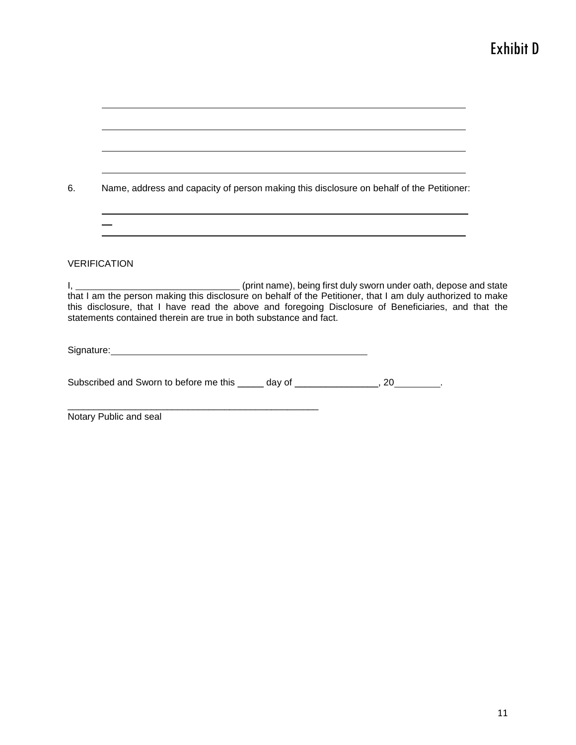# Exhibit D

| 6. | Name, address and capacity of person making this disclosure on behalf of the Petitioner:                                                                                 |  |
|----|--------------------------------------------------------------------------------------------------------------------------------------------------------------------------|--|
|    | <u> 1989 - Johann Stoff, amerikansk politiker (* 1908)</u>                                                                                                               |  |
|    | <b>VERIFICATION</b>                                                                                                                                                      |  |
|    | this disclosure, that I have read the above and foregoing Disclosure of Beneficiaries, and that the<br>statements contained therein are true in both substance and fact. |  |
|    | Signature: <u>Contract Communication</u> Contract Communication Communication Communication Communication Communication                                                  |  |
|    | Subscribed and Sworn to before me this _____ day of ________________, 20________.                                                                                        |  |
|    | Notary Public and seal                                                                                                                                                   |  |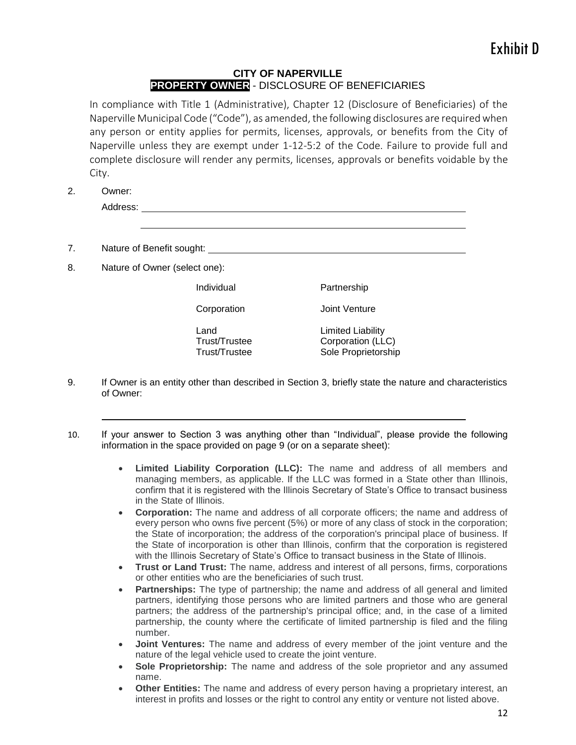#### **CITY OF NAPERVILLE PROPERTY OWNER** - DISCLOSURE OF BENEFICIARIES

In compliance with Title 1 (Administrative), Chapter 12 (Disclosure of Beneficiaries) of the Naperville Municipal Code ("Code"), as amended, the following disclosures are required when any person or entity applies for permits, licenses, approvals, or benefits from the City of Naperville unless they are exempt under 1-12-5:2 of the Code. Failure to provide full and complete disclosure will render any permits, licenses, approvals or benefits voidable by the City.

2. Owner:

```
Address:
```
7. Nature of Benefit sought: 2008 2009 2012 2022 2023 2024 2022 2023 2024 2022 2023 2024 2022 2023 2024 2022 2023 2024 2022 2023 2024 2022 2023 2024 2022 2023 2024 2022 2023 2024 2022 2023 2024 2023 2024 2025 2027 2028 202

8. Nature of Owner (select one):

Individual

Corporation

Land Trust/Trustee Trust/Trustee h Joint Venture Limited Liability

Partnership

Corporation (LLC) Sole Proprietorship

- 9. If Owner is an entity other than described in Section 3, briefly state the nature and characteristics of Owner:
- 10. If your answer to Section 3 was anything other than "Individual", please provide the following information in the space provided on page 9 (or on a separate sheet):
	- **Limited Liability Corporation (LLC):** The name and address of all members and managing members, as applicable. If the LLC was formed in a State other than Illinois, confirm that it is registered with the Illinois Secretary of State's Office to transact business in the State of Illinois.
	- **Corporation:** The name and address of all corporate officers; the name and address of every person who owns five percent (5%) or more of any class of stock in the corporation; the State of incorporation; the address of the corporation's principal place of business. If the State of incorporation is other than Illinois, confirm that the corporation is registered with the Illinois Secretary of State's Office to transact business in the State of Illinois.
	- **Trust or Land Trust:** The name, address and interest of all persons, firms, corporations or other entities who are the beneficiaries of such trust.
	- **Partnerships:** The type of partnership; the name and address of all general and limited partners, identifying those persons who are limited partners and those who are general partners; the address of the partnership's principal office; and, in the case of a limited partnership, the county where the certificate of limited partnership is filed and the filing number.
	- **Joint Ventures:** The name and address of every member of the joint venture and the nature of the legal vehicle used to create the joint venture.
	- **Sole Proprietorship:** The name and address of the sole proprietor and any assumed name.
	- **Other Entities:** The name and address of every person having a proprietary interest, an interest in profits and losses or the right to control any entity or venture not listed above.